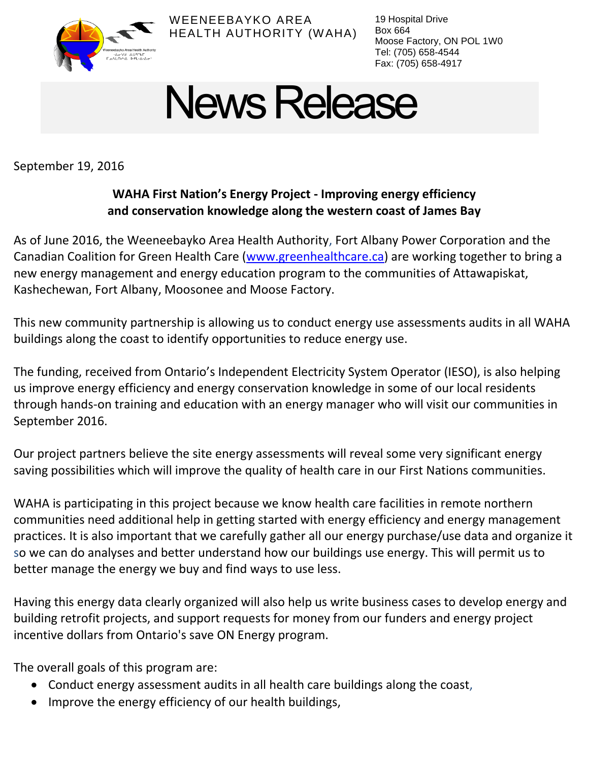

WEENEEBAYKO AREA HEALTH AUTHORITY (WAHA) 19 Hospital Drive Box 664 Moose Factory, ON POL 1W0 Tel: (705) 658-4544 Fax: (705) 658-4917

## **News Release**

September 19, 2016

## **WAHA First Nation's Energy Project - Improving energy efficiency and conservation knowledge along the western coast of James Bay**

As of June 2016, the Weeneebayko Area Health Authority, Fort Albany Power Corporation and the Canadian Coalition for Green Health Care [\(www.greenhealthcare.ca\)](http://www.greenhealthcare.ca/) are working together to bring a new energy management and energy education program to the communities of Attawapiskat, Kashechewan, Fort Albany, Moosonee and Moose Factory.

This new community partnership is allowing us to conduct energy use assessments audits in all WAHA buildings along the coast to identify opportunities to reduce energy use.

The funding, received from Ontario's Independent Electricity System Operator (IESO), is also helping us improve energy efficiency and energy conservation knowledge in some of our local residents through hands-on training and education with an energy manager who will visit our communities in September 2016.

Our project partners believe the site energy assessments will reveal some very significant energy saving possibilities which will improve the quality of health care in our First Nations communities.

WAHA is participating in this project because we know health care facilities in remote northern communities need additional help in getting started with energy efficiency and energy management practices. It is also important that we carefully gather all our energy purchase/use data and organize it so we can do analyses and better understand how our buildings use energy. This will permit us to better manage the energy we buy and find ways to use less.

Having this energy data clearly organized will also help us write business cases to develop energy and building retrofit projects, and support requests for money from our funders and energy project incentive dollars from Ontario's save ON Energy program.

The overall goals of this program are:

- Conduct energy assessment audits in all health care buildings along the coast,
- Improve the energy efficiency of our health buildings,